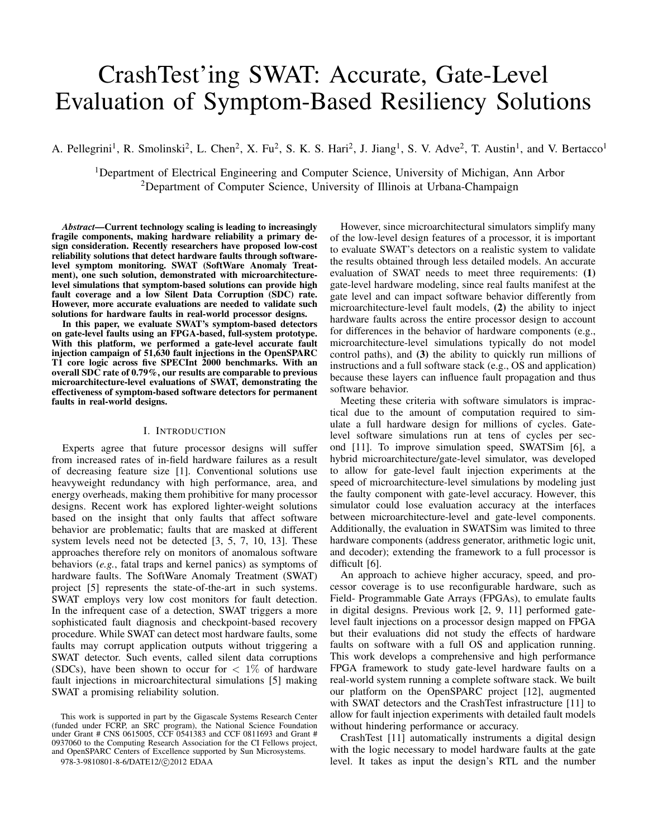# CrashTest'ing SWAT: Accurate, Gate-Level Evaluation of Symptom-Based Resiliency Solutions

A. Pellegrini<sup>1</sup>, R. Smolinski<sup>2</sup>, L. Chen<sup>2</sup>, X. Fu<sup>2</sup>, S. K. S. Hari<sup>2</sup>, J. Jiang<sup>1</sup>, S. V. Adve<sup>2</sup>, T. Austin<sup>1</sup>, and V. Bertacco<sup>1</sup>

<sup>1</sup>Department of Electrical Engineering and Computer Science, University of Michigan, Ann Arbor <sup>2</sup>Department of Computer Science, University of Illinois at Urbana-Champaign

*Abstract*—Current technology scaling is leading to increasingly fragile components, making hardware reliability a primary design consideration. Recently researchers have proposed low-cost reliability solutions that detect hardware faults through softwarelevel symptom monitoring. SWAT (SoftWare Anomaly Treatment), one such solution, demonstrated with microarchitecturelevel simulations that symptom-based solutions can provide high fault coverage and a low Silent Data Corruption (SDC) rate. However, more accurate evaluations are needed to validate such solutions for hardware faults in real-world processor designs.

In this paper, we evaluate SWAT's symptom-based detectors on gate-level faults using an FPGA-based, full-system prototype. With this platform, we performed a gate-level accurate fault injection campaign of 51,630 fault injections in the OpenSPARC T1 core logic across five SPECInt 2000 benchmarks. With an overall SDC rate of 0.79%, our results are comparable to previous microarchitecture-level evaluations of SWAT, demonstrating the effectiveness of symptom-based software detectors for permanent faults in real-world designs.

## I. INTRODUCTION

Experts agree that future processor designs will suffer from increased rates of in-field hardware failures as a result of decreasing feature size [1]. Conventional solutions use heavyweight redundancy with high performance, area, and energy overheads, making them prohibitive for many processor designs. Recent work has explored lighter-weight solutions based on the insight that only faults that affect software behavior are problematic; faults that are masked at different system levels need not be detected [3, 5, 7, 10, 13]. These approaches therefore rely on monitors of anomalous software behaviors (*e.g.*, fatal traps and kernel panics) as symptoms of hardware faults. The SoftWare Anomaly Treatment (SWAT) project [5] represents the state-of-the-art in such systems. SWAT employs very low cost monitors for fault detection. In the infrequent case of a detection, SWAT triggers a more sophisticated fault diagnosis and checkpoint-based recovery procedure. While SWAT can detect most hardware faults, some faults may corrupt application outputs without triggering a SWAT detector. Such events, called silent data corruptions (SDCs), have been shown to occur for  $\langle 1\% \rangle$  of hardware fault injections in microarchitectural simulations [5] making SWAT a promising reliability solution.

978-3-9810801-8-6/DATE12/*c*)2012 EDAA

However, since microarchitectural simulators simplify many of the low-level design features of a processor, it is important to evaluate SWAT's detectors on a realistic system to validate the results obtained through less detailed models. An accurate evaluation of SWAT needs to meet three requirements: (1) gate-level hardware modeling, since real faults manifest at the gate level and can impact software behavior differently from microarchitecture-level fault models, (2) the ability to inject hardware faults across the entire processor design to account for differences in the behavior of hardware components (e.g., microarchitecture-level simulations typically do not model control paths), and (3) the ability to quickly run millions of instructions and a full software stack (e.g., OS and application) because these layers can influence fault propagation and thus software behavior.

Meeting these criteria with software simulators is impractical due to the amount of computation required to simulate a full hardware design for millions of cycles. Gatelevel software simulations run at tens of cycles per second [11]. To improve simulation speed, SWATSim [6], a hybrid microarchitecture/gate-level simulator, was developed to allow for gate-level fault injection experiments at the speed of microarchitecture-level simulations by modeling just the faulty component with gate-level accuracy. However, this simulator could lose evaluation accuracy at the interfaces between microarchitecture-level and gate-level components. Additionally, the evaluation in SWATSim was limited to three hardware components (address generator, arithmetic logic unit, and decoder); extending the framework to a full processor is difficult [6].

An approach to achieve higher accuracy, speed, and processor coverage is to use reconfigurable hardware, such as Field- Programmable Gate Arrays (FPGAs), to emulate faults in digital designs. Previous work [2, 9, 11] performed gatelevel fault injections on a processor design mapped on FPGA but their evaluations did not study the effects of hardware faults on software with a full OS and application running. This work develops a comprehensive and high performance FPGA framework to study gate-level hardware faults on a real-world system running a complete software stack. We built our platform on the OpenSPARC project [12], augmented with SWAT detectors and the CrashTest infrastructure [11] to allow for fault injection experiments with detailed fault models without hindering performance or accuracy.

CrashTest [11] automatically instruments a digital design with the logic necessary to model hardware faults at the gate level. It takes as input the design's RTL and the number

This work is supported in part by the Gigascale Systems Research Center (funded under FCRP, an SRC program), the National Science Foundation under Grant # CNS 0615005, CCF 0541383 and CCF 0811693 and Grant # 0937060 to the Computing Research Association for the CI Fellows project, and OpenSPARC Centers of Excellence supported by Sun Microsystems.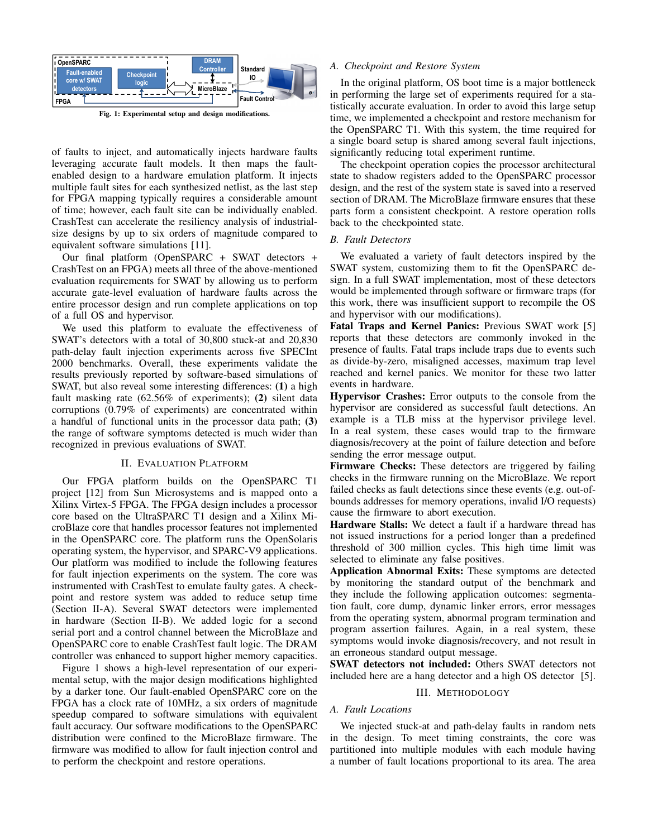

Fig. 1: Experimental setup and design modifications.

of faults to inject, and automatically injects hardware faults leveraging accurate fault models. It then maps the faultenabled design to a hardware emulation platform. It injects multiple fault sites for each synthesized netlist, as the last step for FPGA mapping typically requires a considerable amount of time; however, each fault site can be individually enabled. CrashTest can accelerate the resiliency analysis of industrialsize designs by up to six orders of magnitude compared to equivalent software simulations [11].

Our final platform (OpenSPARC + SWAT detectors + CrashTest on an FPGA) meets all three of the above-mentioned evaluation requirements for SWAT by allowing us to perform accurate gate-level evaluation of hardware faults across the entire processor design and run complete applications on top of a full OS and hypervisor.

We used this platform to evaluate the effectiveness of SWAT's detectors with a total of 30,800 stuck-at and 20,830 path-delay fault injection experiments across five SPECInt 2000 benchmarks. Overall, these experiments validate the results previously reported by software-based simulations of SWAT, but also reveal some interesting differences: (1) a high fault masking rate (62.56% of experiments); (2) silent data corruptions (0.79% of experiments) are concentrated within a handful of functional units in the processor data path; (3) the range of software symptoms detected is much wider than recognized in previous evaluations of SWAT.

## II. EVALUATION PLATFORM

Our FPGA platform builds on the OpenSPARC T1 project [12] from Sun Microsystems and is mapped onto a Xilinx Virtex-5 FPGA. The FPGA design includes a processor core based on the UltraSPARC T1 design and a Xilinx MicroBlaze core that handles processor features not implemented in the OpenSPARC core. The platform runs the OpenSolaris operating system, the hypervisor, and SPARC-V9 applications. Our platform was modified to include the following features for fault injection experiments on the system. The core was instrumented with CrashTest to emulate faulty gates. A checkpoint and restore system was added to reduce setup time (Section II-A). Several SWAT detectors were implemented in hardware (Section II-B). We added logic for a second serial port and a control channel between the MicroBlaze and OpenSPARC core to enable CrashTest fault logic. The DRAM controller was enhanced to support higher memory capacities.

Figure 1 shows a high-level representation of our experimental setup, with the major design modifications highlighted by a darker tone. Our fault-enabled OpenSPARC core on the FPGA has a clock rate of 10MHz, a six orders of magnitude speedup compared to software simulations with equivalent fault accuracy. Our software modifications to the OpenSPARC distribution were confined to the MicroBlaze firmware. The firmware was modified to allow for fault injection control and to perform the checkpoint and restore operations.

## *A. Checkpoint and Restore System*

In the original platform, OS boot time is a major bottleneck in performing the large set of experiments required for a statistically accurate evaluation. In order to avoid this large setup time, we implemented a checkpoint and restore mechanism for the OpenSPARC T1. With this system, the time required for a single board setup is shared among several fault injections, significantly reducing total experiment runtime.

The checkpoint operation copies the processor architectural state to shadow registers added to the OpenSPARC processor design, and the rest of the system state is saved into a reserved section of DRAM. The MicroBlaze firmware ensures that these parts form a consistent checkpoint. A restore operation rolls back to the checkpointed state.

## *B. Fault Detectors*

We evaluated a variety of fault detectors inspired by the SWAT system, customizing them to fit the OpenSPARC design. In a full SWAT implementation, most of these detectors would be implemented through software or firmware traps (for this work, there was insufficient support to recompile the OS and hypervisor with our modifications).

Fatal Traps and Kernel Panics: Previous SWAT work [5] reports that these detectors are commonly invoked in the presence of faults. Fatal traps include traps due to events such as divide-by-zero, misaligned accesses, maximum trap level reached and kernel panics. We monitor for these two latter events in hardware.

Hypervisor Crashes: Error outputs to the console from the hypervisor are considered as successful fault detections. An example is a TLB miss at the hypervisor privilege level. In a real system, these cases would trap to the firmware diagnosis/recovery at the point of failure detection and before sending the error message output.

Firmware Checks: These detectors are triggered by failing checks in the firmware running on the MicroBlaze. We report failed checks as fault detections since these events (e.g. out-ofbounds addresses for memory operations, invalid I/O requests) cause the firmware to abort execution.

Hardware Stalls: We detect a fault if a hardware thread has not issued instructions for a period longer than a predefined threshold of 300 million cycles. This high time limit was selected to eliminate any false positives.

Application Abnormal Exits: These symptoms are detected by monitoring the standard output of the benchmark and they include the following application outcomes: segmentation fault, core dump, dynamic linker errors, error messages from the operating system, abnormal program termination and program assertion failures. Again, in a real system, these symptoms would invoke diagnosis/recovery, and not result in an erroneous standard output message.

SWAT detectors not included: Others SWAT detectors not included here are a hang detector and a high OS detector [5].

#### III. METHODOLOGY

# *A. Fault Locations*

We injected stuck-at and path-delay faults in random nets in the design. To meet timing constraints, the core was partitioned into multiple modules with each module having a number of fault locations proportional to its area. The area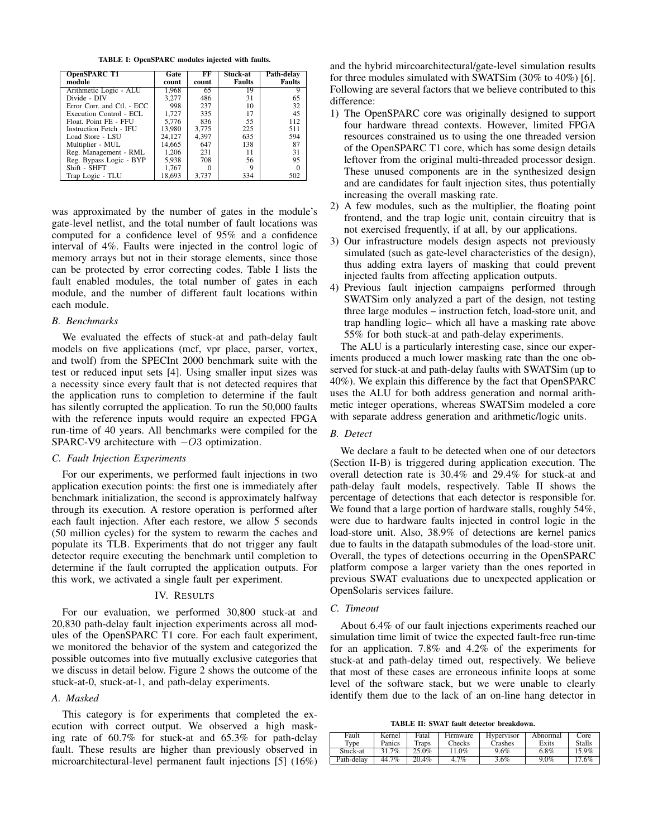TABLE I: OpenSPARC modules injected with faults.

| <b>OpenSPARC T1</b>            | Gate   | FF    | Stuck-at      | Path-delay    |
|--------------------------------|--------|-------|---------------|---------------|
| module                         | count  | count | <b>Faults</b> | <b>Faults</b> |
| Arithmetic Logic - ALU         | 1,968  | 65    | 19            |               |
| Divide - DIV                   | 3.277  | 486   | 31            | 65            |
| Error Corr. and Ctl. - ECC.    | 998    | 237   | 10            | 32            |
| Execution Control - ECL        | 1.727  | 335   | 17            | 45            |
| Float. Point FE - FFU          | 5.776  | 836   | 55            | 112           |
| <b>Instruction Fetch - IFU</b> | 13,980 | 3.775 | 225           | 511           |
| Load Store - LSU               | 24.127 | 4.397 | 635           | 594           |
| Multiplier - MUL               | 14.665 | 647   | 138           | 87            |
| Reg. Management - RML          | 1.206  | 231   | 11            | 31            |
| Reg. Bypass Logic - BYP        | 5,938  | 708   | 56            | 95            |
| Shift - SHFT                   | 1,767  |       | 9             |               |
| Trap Logic - TLU               | 18.693 | 3.737 | 334           | 502           |

was approximated by the number of gates in the module's gate-level netlist, and the total number of fault locations was computed for a confidence level of 95% and a confidence interval of 4%. Faults were injected in the control logic of memory arrays but not in their storage elements, since those can be protected by error correcting codes. Table I lists the fault enabled modules, the total number of gates in each module, and the number of different fault locations within each module.

## *B. Benchmarks*

We evaluated the effects of stuck-at and path-delay fault models on five applications (mcf, vpr place, parser, vortex, and twolf) from the SPECInt 2000 benchmark suite with the test or reduced input sets [4]. Using smaller input sizes was a necessity since every fault that is not detected requires that the application runs to completion to determine if the fault has silently corrupted the application. To run the 50,000 faults with the reference inputs would require an expected FPGA run-time of 40 years. All benchmarks were compiled for the SPARC-V9 architecture with *−O*3 optimization.

# *C. Fault Injection Experiments*

For our experiments, we performed fault injections in two application execution points: the first one is immediately after benchmark initialization, the second is approximately halfway through its execution. A restore operation is performed after each fault injection. After each restore, we allow 5 seconds (50 million cycles) for the system to rewarm the caches and populate its TLB. Experiments that do not trigger any fault detector require executing the benchmark until completion to determine if the fault corrupted the application outputs. For this work, we activated a single fault per experiment.

#### IV. RESULTS

For our evaluation, we performed 30,800 stuck-at and 20,830 path-delay fault injection experiments across all modules of the OpenSPARC T1 core. For each fault experiment, we monitored the behavior of the system and categorized the possible outcomes into five mutually exclusive categories that we discuss in detail below. Figure 2 shows the outcome of the stuck-at-0, stuck-at-1, and path-delay experiments.

# *A. Masked*

This category is for experiments that completed the execution with correct output. We observed a high masking rate of 60.7% for stuck-at and 65.3% for path-delay fault. These results are higher than previously observed in microarchitectural-level permanent fault injections [5] (16%) and the hybrid mircoarchitectural/gate-level simulation results for three modules simulated with SWATSim (30% to 40%) [6]. Following are several factors that we believe contributed to this difference:

- 1) The OpenSPARC core was originally designed to support four hardware thread contexts. However, limited FPGA resources constrained us to using the one threaded version of the OpenSPARC T1 core, which has some design details leftover from the original multi-threaded processor design. These unused components are in the synthesized design and are candidates for fault injection sites, thus potentially increasing the overall masking rate.
- 2) A few modules, such as the multiplier, the floating point frontend, and the trap logic unit, contain circuitry that is not exercised frequently, if at all, by our applications.
- 3) Our infrastructure models design aspects not previously simulated (such as gate-level characteristics of the design), thus adding extra layers of masking that could prevent injected faults from affecting application outputs.
- 4) Previous fault injection campaigns performed through SWATSim only analyzed a part of the design, not testing three large modules – instruction fetch, load-store unit, and trap handling logic– which all have a masking rate above 55% for both stuck-at and path-delay experiments.

The ALU is a particularly interesting case, since our experiments produced a much lower masking rate than the one observed for stuck-at and path-delay faults with SWATSim (up to 40%). We explain this difference by the fact that OpenSPARC uses the ALU for both address generation and normal arithmetic integer operations, whereas SWATSim modeled a core with separate address generation and arithmetic/logic units.

# *B. Detect*

We declare a fault to be detected when one of our detectors (Section II-B) is triggered during application execution. The overall detection rate is 30.4% and 29.4% for stuck-at and path-delay fault models, respectively. Table II shows the percentage of detections that each detector is responsible for. We found that a large portion of hardware stalls, roughly 54%, were due to hardware faults injected in control logic in the load-store unit. Also, 38.9% of detections are kernel panics due to faults in the datapath submodules of the load-store unit. Overall, the types of detections occurring in the OpenSPARC platform compose a larger variety than the ones reported in previous SWAT evaluations due to unexpected application or OpenSolaris services failure.

# *C. Timeout*

About 6.4% of our fault injections experiments reached our simulation time limit of twice the expected fault-free run-time for an application. 7.8% and 4.2% of the experiments for stuck-at and path-delay timed out, respectively. We believe that most of these cases are erroneous infinite loops at some level of the software stack, but we were unable to clearly identify them due to the lack of an on-line hang detector in

TABLE II: SWAT fault detector breakdown.

| Fault      | Kernel | Fatal    | Firmware<br>Hypervisor |         | Abnormal | Core          |
|------------|--------|----------|------------------------|---------|----------|---------------|
| Type       | Panics | Traps    | Checks                 | Crashes | Exits    | <b>Stalls</b> |
| Stuck-at   | 31.7%  | $25.0\%$ | 11.0%                  | 9.6%    | 6.8%     | 15.9%         |
| Path-delay | 44.7%  | 20.4%    | $4.7\%$                | 3.6%    | $9.0\%$  | 17.6%         |